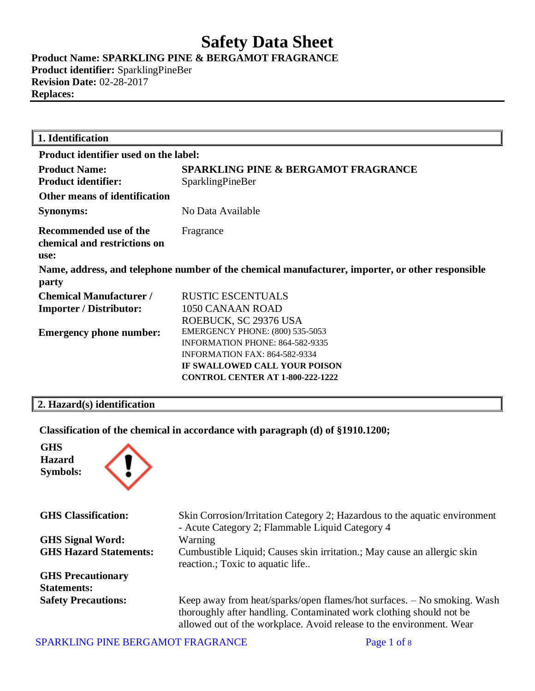**Product Name: SPARKLING PINE & BERGAMOT FRAGRANCE**

**Product identifier:** SparklingPineBer **Revision Date:** 02-28-2017 **Replaces:** 

| 1. Identification                                              |                                                                                                  |  |
|----------------------------------------------------------------|--------------------------------------------------------------------------------------------------|--|
| <b>Product identifier used on the label:</b>                   |                                                                                                  |  |
| <b>Product Name:</b>                                           | <b>SPARKLING PINE &amp; BERGAMOT FRAGRANCE</b>                                                   |  |
| <b>Product identifier:</b>                                     | <b>SparklingPineBer</b>                                                                          |  |
| <b>Other means of identification</b>                           |                                                                                                  |  |
| <b>Synonyms:</b>                                               | No Data Available                                                                                |  |
| Recommended use of the<br>chemical and restrictions on<br>use: | Fragrance                                                                                        |  |
| party                                                          | Name, address, and telephone number of the chemical manufacturer, importer, or other responsible |  |
| <b>Chemical Manufacturer /</b>                                 | <b>RUSTIC ESCENTUALS</b>                                                                         |  |
| <b>Importer / Distributor:</b>                                 | 1050 CANAAN ROAD                                                                                 |  |
|                                                                | ROEBUCK, SC 29376 USA                                                                            |  |
| <b>Emergency phone number:</b>                                 | <b>EMERGENCY PHONE: (800) 535-5053</b>                                                           |  |
|                                                                | INFORMATION PHONE: 864-582-9335                                                                  |  |
|                                                                | <b>INFORMATION FAX: 864-582-9334</b>                                                             |  |
|                                                                | IF SWALLOWED CALL YOUR POISON                                                                    |  |
|                                                                | <b>CONTROL CENTER AT 1-800-222-1222</b>                                                          |  |

## **2. Hazard(s) identification**

## **Classification of the chemical in accordance with paragraph (d) of §1910.1200;**





| <b>GHS Classification:</b>                     | Skin Corrosion/Irritation Category 2; Hazardous to the aquatic environment                                                                                                                                             |
|------------------------------------------------|------------------------------------------------------------------------------------------------------------------------------------------------------------------------------------------------------------------------|
|                                                | - Acute Category 2; Flammable Liquid Category 4                                                                                                                                                                        |
| <b>GHS Signal Word:</b>                        | Warning                                                                                                                                                                                                                |
| <b>GHS Hazard Statements:</b>                  | Cumbustible Liquid; Causes skin irritation.; May cause an allergic skin<br>reaction.; Toxic to aquatic life                                                                                                            |
| <b>GHS Precautionary</b><br><b>Statements:</b> |                                                                                                                                                                                                                        |
| <b>Safety Precautions:</b>                     | Keep away from heat/sparks/open flames/hot surfaces. - No smoking. Wash<br>thoroughly after handling. Contaminated work clothing should not be<br>allowed out of the workplace. Avoid release to the environment. Wear |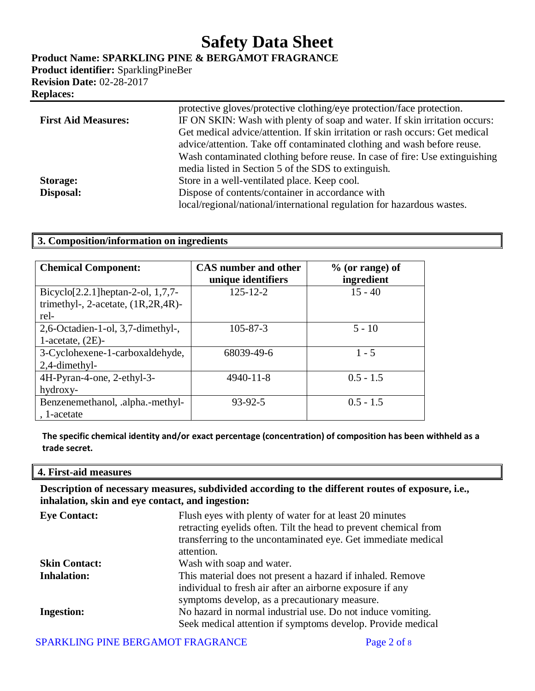**Product Name: SPARKLING PINE & BERGAMOT FRAGRANCE**

**Product identifier:** SparklingPineBer **Revision Date:** 02-28-2017 **Replaces:** 

|                            | protective gloves/protective clothing/eye protection/face protection.        |
|----------------------------|------------------------------------------------------------------------------|
| <b>First Aid Measures:</b> | IF ON SKIN: Wash with plenty of soap and water. If skin irritation occurs:   |
|                            | Get medical advice/attention. If skin irritation or rash occurs: Get medical |
|                            | advice/attention. Take off contaminated clothing and wash before reuse.      |
|                            | Wash contaminated clothing before reuse. In case of fire: Use extinguishing  |
|                            | media listed in Section 5 of the SDS to extinguish.                          |
| <b>Storage:</b>            | Store in a well-ventilated place. Keep cool.                                 |
| Disposal:                  | Dispose of contents/container in accordance with                             |
|                            | local/regional/national/international regulation for hazardous wastes.       |

## **3. Composition/information on ingredients**

| <b>Chemical Component:</b>                                                                           | <b>CAS</b> number and other<br>unique identifiers | $%$ (or range) of<br>ingredient |
|------------------------------------------------------------------------------------------------------|---------------------------------------------------|---------------------------------|
| Bicyclo <sup>[2.2.1]</sup> heptan-2-ol, $1,7,7$ -<br>trimethyl-, 2-acetate, $(1R, 2R, 4R)$ -<br>rel- | $125 - 12 - 2$                                    | $15 - 40$                       |
| 2,6-Octadien-1-ol, 3,7-dimethyl-,<br>1-acetate, $(2E)$ -                                             | $105 - 87 - 3$                                    | $5 - 10$                        |
| 3-Cyclohexene-1-carboxaldehyde,<br>2,4-dimethyl-                                                     | 68039-49-6                                        | $1 - 5$                         |
| 4H-Pyran-4-one, 2-ethyl-3-<br>hydroxy-                                                               | $4940 - 11 - 8$                                   | $0.5 - 1.5$                     |
| Benzenemethanol, .alpha.-methyl-<br>$l$ -acetate                                                     | $93 - 92 - 5$                                     | $0.5 - 1.5$                     |

**The specific chemical identity and/or exact percentage (concentration) of composition has been withheld as a trade secret.**

### **4. First-aid measures**

**Description of necessary measures, subdivided according to the different routes of exposure, i.e., inhalation, skin and eye contact, and ingestion:**

| <b>Eye Contact:</b>  | Flush eyes with plenty of water for at least 20 minutes          |
|----------------------|------------------------------------------------------------------|
|                      | retracting eyelids often. Tilt the head to prevent chemical from |
|                      | transferring to the uncontaminated eye. Get immediate medical    |
|                      | attention.                                                       |
| <b>Skin Contact:</b> | Wash with soap and water.                                        |
| <b>Inhalation:</b>   | This material does not present a hazard if inhaled. Remove       |
|                      | individual to fresh air after an airborne exposure if any        |
|                      | symptoms develop, as a precautionary measure.                    |
| <b>Ingestion:</b>    | No hazard in normal industrial use. Do not induce vomiting.      |
|                      | Seek medical attention if symptoms develop. Provide medical      |

SPARKLING PINE BERGAMOT FRAGRANCE Page 2 of 8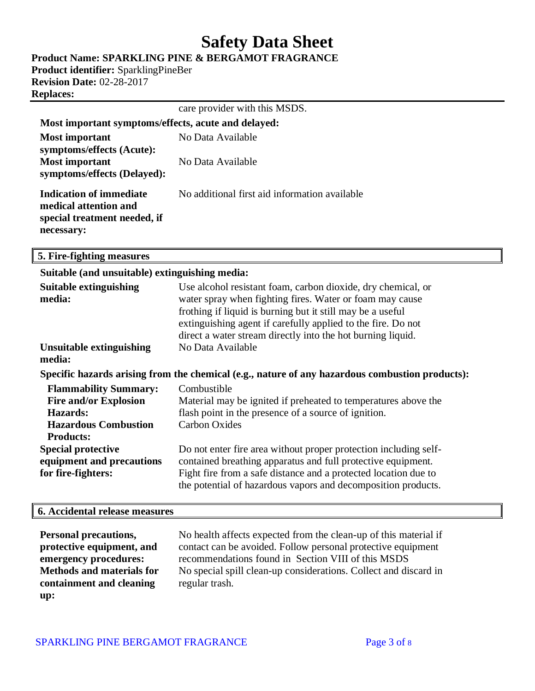**Product Name: SPARKLING PINE & BERGAMOT FRAGRANCE**

**Product identifier:** SparklingPineBer **Revision Date:** 02-28-2017 **Replaces:** 

#### care provider with this MSDS.

| Most important symptoms/effects, acute and delayed:                                            |                                               |  |
|------------------------------------------------------------------------------------------------|-----------------------------------------------|--|
| Most important<br>symptoms/effects (Acute):                                                    | No Data Available                             |  |
| <b>Most important</b><br>symptoms/effects (Delayed):                                           | No Data Available                             |  |
| Indication of immediate<br>medical attention and<br>special treatment needed, if<br>necessary: | No additional first aid information available |  |

### **5. Fire-fighting measures**

| Suitable (and unsuitable) extinguishing media:                                                                              |                                                                                                                                                                                                                                                                                                                       |  |
|-----------------------------------------------------------------------------------------------------------------------------|-----------------------------------------------------------------------------------------------------------------------------------------------------------------------------------------------------------------------------------------------------------------------------------------------------------------------|--|
| <b>Suitable extinguishing</b><br>media:                                                                                     | Use alcohol resistant foam, carbon dioxide, dry chemical, or<br>water spray when fighting fires. Water or foam may cause<br>frothing if liquid is burning but it still may be a useful<br>extinguishing agent if carefully applied to the fire. Do not<br>direct a water stream directly into the hot burning liquid. |  |
| <b>Unsuitable extinguishing</b><br>media:                                                                                   | No Data Available                                                                                                                                                                                                                                                                                                     |  |
| Specific hazards arising from the chemical (e.g., nature of any hazardous combustion products):                             |                                                                                                                                                                                                                                                                                                                       |  |
| <b>Flammability Summary:</b><br><b>Fire and/or Explosion</b><br>Hazards:<br><b>Hazardous Combustion</b><br><b>Products:</b> | Combustible<br>Material may be ignited if preheated to temperatures above the<br>flash point in the presence of a source of ignition.<br><b>Carbon Oxides</b>                                                                                                                                                         |  |
| <b>Special protective</b><br>equipment and precautions<br>for fire-fighters:                                                | Do not enter fire area without proper protection including self-<br>contained breathing apparatus and full protective equipment.<br>Fight fire from a safe distance and a protected location due to<br>the potential of hazardous vapors and decomposition products.                                                  |  |

### **6. Accidental release measures**

**Personal precautions, protective equipment, and emergency procedures: Methods and materials for containment and cleaning up:**

No health affects expected from the clean-up of this material if contact can be avoided. Follow personal protective equipment recommendations found in Section VIII of this MSDS No special spill clean-up considerations. Collect and discard in regular trash.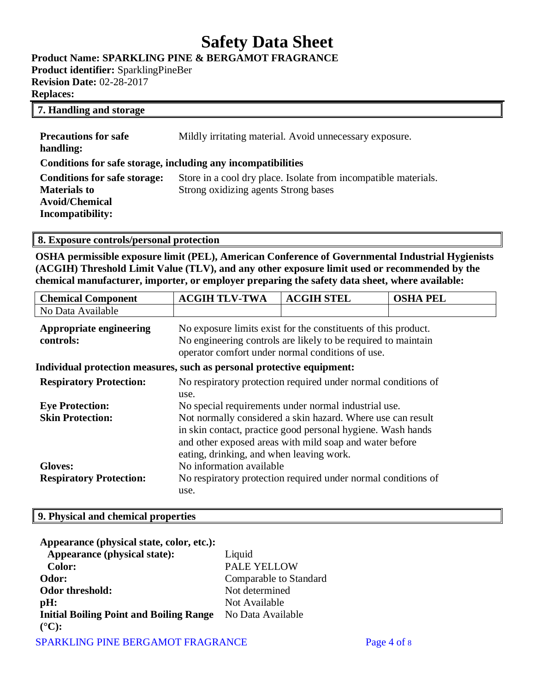**Product Name: SPARKLING PINE & BERGAMOT FRAGRANCE**

**Product identifier:** SparklingPineBer **Revision Date:** 02-28-2017 **Replaces:** 

| 7. Handling and storage                                      |                                                                                                         |  |
|--------------------------------------------------------------|---------------------------------------------------------------------------------------------------------|--|
| <b>Precautions for safe</b><br>handling:                     | Mildly irritating material. Avoid unnecessary exposure.                                                 |  |
| Conditions for safe storage, including any incompatibilities |                                                                                                         |  |
| <b>Conditions for safe storage:</b><br><b>Materials to</b>   | Store in a cool dry place. Isolate from incompatible materials.<br>Strong oxidizing agents Strong bases |  |
| <b>Avoid/Chemical</b><br>Incompatibility:                    |                                                                                                         |  |

### **8. Exposure controls/personal protection**

**OSHA permissible exposure limit (PEL), American Conference of Governmental Industrial Hygienists (ACGIH) Threshold Limit Value (TLV), and any other exposure limit used or recommended by the chemical manufacturer, importer, or employer preparing the safety data sheet, where available:**

| <b>Chemical Component</b>                                              | <b>ACGIH TLV-TWA</b>                                                                                                                                                                                                                                                                      | <b>ACGIH STEL</b>                                             | <b>OSHA PEL</b> |
|------------------------------------------------------------------------|-------------------------------------------------------------------------------------------------------------------------------------------------------------------------------------------------------------------------------------------------------------------------------------------|---------------------------------------------------------------|-----------------|
| No Data Available                                                      |                                                                                                                                                                                                                                                                                           |                                                               |                 |
| <b>Appropriate engineering</b><br>controls:                            | No exposure limits exist for the constituents of this product.<br>No engineering controls are likely to be required to maintain<br>operator comfort under normal conditions of use.                                                                                                       |                                                               |                 |
| Individual protection measures, such as personal protective equipment: |                                                                                                                                                                                                                                                                                           |                                                               |                 |
| <b>Respiratory Protection:</b>                                         | use.                                                                                                                                                                                                                                                                                      | No respiratory protection required under normal conditions of |                 |
| <b>Eye Protection:</b><br><b>Skin Protection:</b>                      | No special requirements under normal industrial use.<br>Not normally considered a skin hazard. Where use can result<br>in skin contact, practice good personal hygiene. Wash hands<br>and other exposed areas with mild soap and water before<br>eating, drinking, and when leaving work. |                                                               |                 |
| <b>Gloves:</b><br><b>Respiratory Protection:</b>                       | No information available<br>use.                                                                                                                                                                                                                                                          | No respiratory protection required under normal conditions of |                 |

## **9. Physical and chemical properties**

| Appearance (physical state, color, etc.):          |                        |
|----------------------------------------------------|------------------------|
| Appearance (physical state):                       | Liquid                 |
| <b>Color:</b>                                      | <b>PALE YELLOW</b>     |
| Odor:                                              | Comparable to Standard |
| Odor threshold:                                    | Not determined         |
| pH:                                                | Not Available          |
| <b>Initial Boiling Point and Boiling Range</b>     | No Data Available      |
| $({}^{\circ}C):$                                   |                        |
| $CD$ $ADZ$<br>IQ DIVIE DED Q 43 LOT ED 4 QD 43 LOF |                        |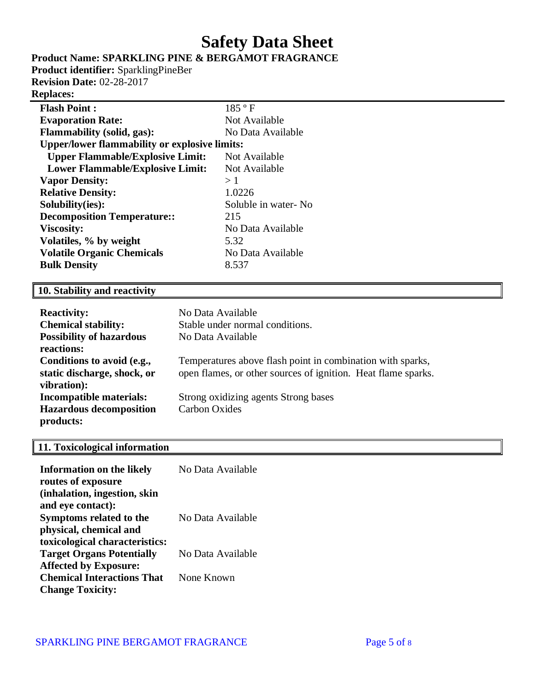**Product Name: SPARKLING PINE & BERGAMOT FRAGRANCE**

**Product identifier:** SparklingPineBer **Revision Date:** 02-28-2017

# **Replaces:**

| $185°$ F                                             |
|------------------------------------------------------|
| Not Available                                        |
| No Data Available                                    |
| <b>Upper/lower flammability or explosive limits:</b> |
| Not Available                                        |
| Not Available                                        |
| >1                                                   |
| 1.0226                                               |
| Soluble in water- No                                 |
| 215                                                  |
| No Data Available                                    |
| 5.32                                                 |
| No Data Available                                    |
| 8.537                                                |
|                                                      |

# **10. Stability and reactivity**

| <b>Reactivity:</b>              | No Data Available                                             |
|---------------------------------|---------------------------------------------------------------|
| <b>Chemical stability:</b>      | Stable under normal conditions.                               |
| <b>Possibility of hazardous</b> | No Data Available                                             |
| reactions:                      |                                                               |
| Conditions to avoid (e.g.,      | Temperatures above flash point in combination with sparks,    |
| static discharge, shock, or     | open flames, or other sources of ignition. Heat flame sparks. |
| vibration):                     |                                                               |
| <b>Incompatible materials:</b>  | Strong oxidizing agents Strong bases                          |
| <b>Hazardous decomposition</b>  | <b>Carbon Oxides</b>                                          |
| products:                       |                                                               |

## **11. Toxicological information**

| <b>Information on the likely</b>  | No Data Available |
|-----------------------------------|-------------------|
| routes of exposure                |                   |
| (inhalation, ingestion, skin      |                   |
| and eye contact):                 |                   |
| <b>Symptoms related to the</b>    | No Data Available |
| physical, chemical and            |                   |
| toxicological characteristics:    |                   |
| <b>Target Organs Potentially</b>  | No Data Available |
| <b>Affected by Exposure:</b>      |                   |
| <b>Chemical Interactions That</b> | None Known        |
| <b>Change Toxicity:</b>           |                   |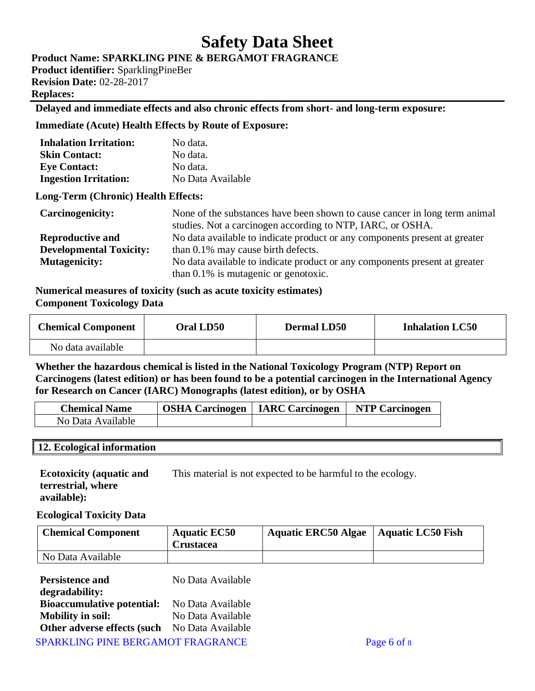**Product Name: SPARKLING PINE & BERGAMOT FRAGRANCE**

**Product identifier:** SparklingPineBer **Revision Date:** 02-28-2017 **Replaces:** 

**Delayed and immediate effects and also chronic effects from short- and long-term exposure:**

**Immediate (Acute) Health Effects by Route of Exposure:**

| <b>Inhalation Irritation:</b>              | No data.                                                                                                                                 |
|--------------------------------------------|------------------------------------------------------------------------------------------------------------------------------------------|
| <b>Skin Contact:</b>                       | No data.                                                                                                                                 |
| <b>Eye Contact:</b>                        | No data.                                                                                                                                 |
| <b>Ingestion Irritation:</b>               | No Data Available                                                                                                                        |
| <b>Long-Term (Chronic) Health Effects:</b> |                                                                                                                                          |
| <b>Carcinogenicity:</b>                    | None of the substances have been shown to cause cancer in long term animal<br>studies. Not a carcinogen according to NTP, IARC, or OSHA. |

|                                | studies. Not a carcinogen according to NTP, IARC, or OSHA.                 |
|--------------------------------|----------------------------------------------------------------------------|
| <b>Reproductive and</b>        | No data available to indicate product or any components present at greater |
| <b>Developmental Toxicity:</b> | than 0.1% may cause birth defects.                                         |
| <b>Mutagenicity:</b>           | No data available to indicate product or any components present at greater |
|                                | than $0.1\%$ is mutagenic or genotoxic.                                    |

### **Numerical measures of toxicity (such as acute toxicity estimates) Component Toxicology Data**

| <b>Chemical Component</b> | Oral LD50 | <b>Dermal LD50</b> | <b>Inhalation LC50</b> |
|---------------------------|-----------|--------------------|------------------------|
| No data available         |           |                    |                        |

**Whether the hazardous chemical is listed in the National Toxicology Program (NTP) Report on Carcinogens (latest edition) or has been found to be a potential carcinogen in the International Agency for Research on Cancer (IARC) Monographs (latest edition), or by OSHA**

| <b>Chemical Name</b> | <b>OSHA Carcinogen</b>   <b>IARC Carcinogen</b> | NTP Carcinogen |
|----------------------|-------------------------------------------------|----------------|
| No Data Available    |                                                 |                |

## **12. Ecological information**

**Ecotoxicity (aquatic and terrestrial, where available):** This material is not expected to be harmful to the ecology.

### **Ecological Toxicity Data**

| <b>Chemical Component</b> | <b>Aquatic EC50</b><br><b>Crustacea</b> | Aquatic ERC50 Algae   Aquatic LC50 Fish |  |
|---------------------------|-----------------------------------------|-----------------------------------------|--|
| No Data Available         |                                         |                                         |  |

| <b>Persistence and</b>                               | No Data Available |             |
|------------------------------------------------------|-------------------|-------------|
| degradability:                                       |                   |             |
| <b>Bioaccumulative potential:</b> No Data Available  |                   |             |
| <b>Mobility in soil:</b>                             | No Data Available |             |
| <b>Other adverse effects (such</b> No Data Available |                   |             |
| <b>SPARKLING PINE BERGAMOT FRAGRANCE</b>             |                   | Page 6 of 8 |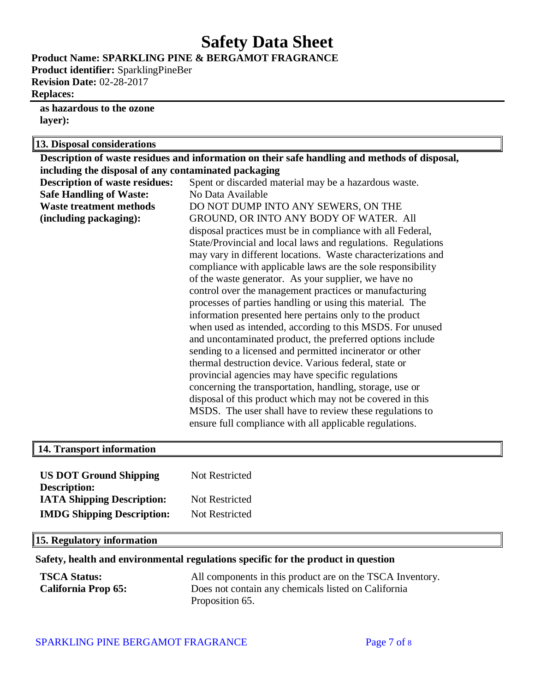**Product Name: SPARKLING PINE & BERGAMOT FRAGRANCE**

**Product identifier:** SparklingPineBer **Revision Date:** 02-28-2017 **Replaces:** 

**as hazardous to the ozone layer):**

F

| 13. Disposal considerations                          |                                                                                               |  |  |
|------------------------------------------------------|-----------------------------------------------------------------------------------------------|--|--|
|                                                      | Description of waste residues and information on their safe handling and methods of disposal, |  |  |
| including the disposal of any contaminated packaging |                                                                                               |  |  |
| <b>Description of waste residues:</b>                | Spent or discarded material may be a hazardous waste.                                         |  |  |
| <b>Safe Handling of Waste:</b>                       | No Data Available                                                                             |  |  |
| <b>Waste treatment methods</b>                       | DO NOT DUMP INTO ANY SEWERS, ON THE                                                           |  |  |
| (including packaging):                               | GROUND, OR INTO ANY BODY OF WATER. All                                                        |  |  |
|                                                      | disposal practices must be in compliance with all Federal,                                    |  |  |
|                                                      | State/Provincial and local laws and regulations. Regulations                                  |  |  |
|                                                      | may vary in different locations. Waste characterizations and                                  |  |  |
|                                                      | compliance with applicable laws are the sole responsibility                                   |  |  |
|                                                      | of the waste generator. As your supplier, we have no                                          |  |  |
|                                                      | control over the management practices or manufacturing                                        |  |  |
|                                                      | processes of parties handling or using this material. The                                     |  |  |
|                                                      | information presented here pertains only to the product                                       |  |  |
|                                                      | when used as intended, according to this MSDS. For unused                                     |  |  |
|                                                      | and uncontaminated product, the preferred options include                                     |  |  |
|                                                      | sending to a licensed and permitted incinerator or other                                      |  |  |
|                                                      | thermal destruction device. Various federal, state or                                         |  |  |
|                                                      | provincial agencies may have specific regulations                                             |  |  |
|                                                      | concerning the transportation, handling, storage, use or                                      |  |  |
|                                                      | disposal of this product which may not be covered in this                                     |  |  |
|                                                      | MSDS. The user shall have to review these regulations to                                      |  |  |
|                                                      | ensure full compliance with all applicable regulations.                                       |  |  |
|                                                      |                                                                                               |  |  |
| 14. Transport information                            |                                                                                               |  |  |
|                                                      |                                                                                               |  |  |

| <b>US DOT Ground Shipping</b>     | Not Restricted |
|-----------------------------------|----------------|
| <b>Description:</b>               |                |
| <b>IATA Shipping Description:</b> | Not Restricted |
| <b>IMDG Shipping Description:</b> | Not Restricted |

## **15. Regulatory information**

### **Safety, health and environmental regulations specific for the product in question**

| <b>TSCA Status:</b> | All components in this product are on the TSCA Inventory. |
|---------------------|-----------------------------------------------------------|
| California Prop 65: | Does not contain any chemicals listed on California       |
|                     | Proposition 65.                                           |